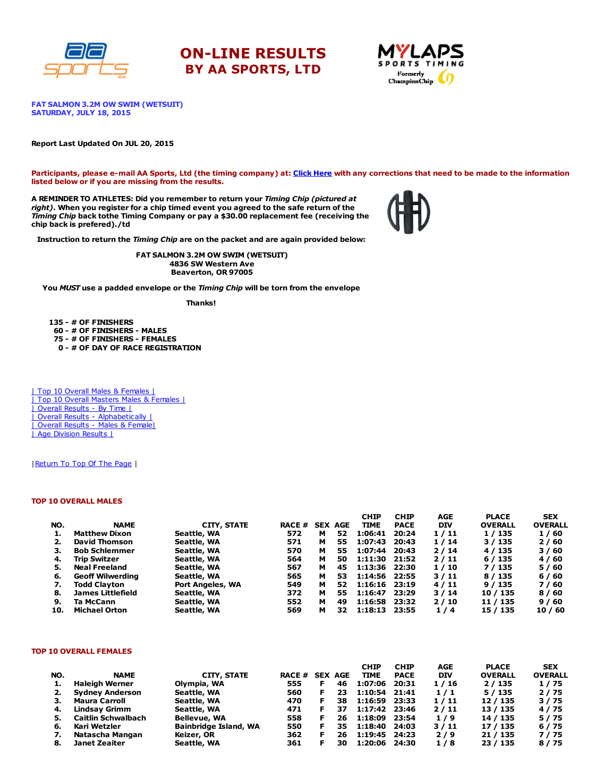





FAT SALMON 3.2M OW SWIM (WETSUIT) SATURDAY, JULY 18, 2015

#### Report Last Updated On JUL 20, 2015

Participants, please e-mail AA Sports, Ltd (the timing company) at: Click [Here](http://www.racecenter.com/aa-sports-results-inquiry/) with any corrections that need to be made to the information listed below or if you are missing from the results.

A REMINDER TO ATHLETES: Did you remember to return your Timing Chip (pictured at right). When you register for a chip timed event you agreed to the safe return of the Timing Chip back tothe Timing Company or pay a \$30.00 replacement fee (receiving the chip back is prefered)./td



Instruction to return the Timing Chip are on the packet and are again provided below:

FAT SALMON 3.2M OW SWIM (WETSUIT) 4836 SW Western Ave Beaverton, OR 97005

You MUST use a padded envelope or the Timing Chip will be torn from the envelope

Thanks!

 - # OF FINISHERS - # OF FINISHERS - MALES - # OF FINISHERS - FEMALES - # OF DAY OF RACE REGISTRATION

| Top 10 Overall Males & Females | | Top 10 Overall Masters Males & Females | | Overall Results - By Time | | Overall Results - [Alphabetically](http://www.racecenter.com/results/2015/res_s4al15.htm) | | Overall Results - Males & [Female|](http://www.racecenter.com/results/2015/res_s4og15.htm) | Age [Division](http://www.racecenter.com/results/2015/res_s4ag15.htm) Results |

| Return To Top Of The Page |

### TOP 10 OVERALL MALES

|     |                         |                         |                |   |    | <b>CHIP</b>   | <b>CHIP</b> | AGE  | <b>PLACE</b>   | <b>SEX</b>     |
|-----|-------------------------|-------------------------|----------------|---|----|---------------|-------------|------|----------------|----------------|
| NO. | <b>NAME</b>             | CITY, STATE             | RACE # SEX AGE |   |    | <b>TIME</b>   | <b>PACE</b> | DIV  | <b>OVERALL</b> | <b>OVERALL</b> |
|     | <b>Matthew Dixon</b>    | Seattle, WA             | 572            | м | 52 | 1:06:41       | 20:24       | 1/11 | 1 / 135        | 1/60           |
|     | <b>David Thomson</b>    | Seattle, WA             | 571            | м | 55 | 1:07:43       | 20:43       | 1/14 | 3 / 135        | 2/60           |
| з.  | <b>Bob Schlemmer</b>    | Seattle, WA             | 570            | м | 55 | 1:07:44       | 20:43       | 2/14 | 4 / 135        | 3/60           |
| 4.  | Trip Switzer            | Seattle, WA             | 564            | м | 50 | 1:11:30 21:52 |             | 2/11 | 6/135          | 4/60           |
| 5.  | <b>Neal Freeland</b>    | Seattle, WA             | 567            | м | 45 | 1:13:36 22:30 |             | 1/10 | 7 / 135        | 5/60           |
| 6.  | <b>Geoff Wilwerding</b> | Seattle, WA             | 565            | м | 53 | 1:14:56 22:55 |             | 3/11 | 8/135          | 6/60           |
| 7.  | <b>Todd Clavton</b>     | <b>Port Angeles, WA</b> | 549            | м | 52 | 1:16:16 23:19 |             | 4/11 | 9/135          | 7/60           |
| 8.  | James Littlefield       | Seattle, WA             | 372            | м | 55 | 1:16:47       | 23:29       | 3/14 | 10 / 135       | 8/60           |
| 9.  | Ta McCann               | Seattle, WA             | 552            | м | 49 | 1:16:58       | 23:32       | 2/10 | 11 / 135       | 9/60           |
| 10. | <b>Michael Orton</b>    | Seattle, WA             | 569            | м | 32 | 1:18:13       | 23:55       | 1/4  | 15 / 135       | 10/60          |

#### TOP 10 OVERALL FEMALES

|     |                           |                              |                |   |    | <b>CHIP</b>   | <b>CHIP</b> | AGE        | <b>PLACE</b>   | <b>SEX</b>     |
|-----|---------------------------|------------------------------|----------------|---|----|---------------|-------------|------------|----------------|----------------|
| NO. | <b>NAME</b>               | CITY, STATE                  | RACE # SEX AGE |   |    | <b>TIME</b>   | <b>PACE</b> | <b>DIV</b> | <b>OVERALL</b> | <b>OVERALL</b> |
| 1.  | <b>Haleigh Werner</b>     | Olympia, WA                  | 555            |   | 46 | 1:07:06       | 20:31       | 1/16       | 2/135          | 1/75           |
| 2.  | <b>Sydney Anderson</b>    | Seattle, WA                  | 560            |   | 23 | 1:10:54 21:41 |             | 1/1        | 5/135          | 2/75           |
| з.  | <b>Maura Carroll</b>      | Seattle, WA                  | 470            | Е | 38 | 1:16:59 23:33 |             | 1/11       | 12 / 135       | 3/75           |
| 4.  | Lindsav Grimm             | Seattle, WA                  | 471            |   | 37 | 1:17:42 23:46 |             | 2/11       | 13 / 135       | 4/75           |
| 5.  | <b>Caitlin Schwalbach</b> | <b>Bellevue, WA</b>          | 558            |   | 26 | 1:18:09 23:54 |             | 1/9        | 14 / 135       | 5/75           |
| 6.  | Kari Wetzler              | <b>Bainbridge Island, WA</b> | 550            |   | 35 | 1:18:40       | 24:03       | 3/11       | 17 / 135       | 6/75           |
|     | Natascha Mangan           | Keizer, OR                   | 362            | F | 26 | 1:19:45 24:23 |             | 2/9        | 21/135         | 7/75           |
| 8.  | Janet Zeaiter             | Seattle, WA                  | 361            |   | 30 | 1:20:06       | 24:30       | 1/8        | 23 / 135       | 8/75           |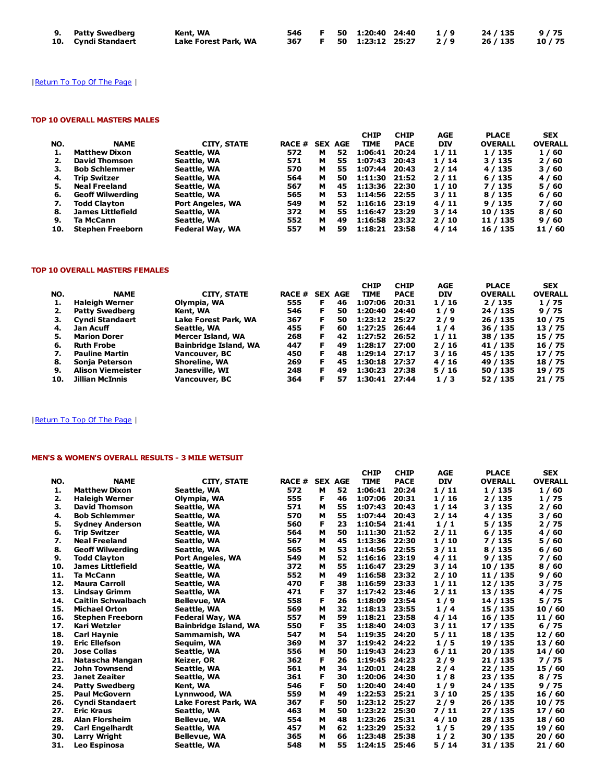| 9. Patty Swedberg   | Kent, WA             |  |  |  | 546 F 50 1:20:40 24:40 1/9 24/135 9/75  |  |
|---------------------|----------------------|--|--|--|-----------------------------------------|--|
| 10. Cyndi Standaert | Lake Forest Park, WA |  |  |  | 367 F 50 1:23:12 25:27 2/9 26/135 10/75 |  |

# | Return To Top Of The Page |

## TOP 10 OVERALL MASTERS MALES

|     |                         |                    |               |   |                | <b>CHIP</b>     | <b>CHIP</b> | AGE        | <b>PLACE</b>   | <b>SEX</b>     |
|-----|-------------------------|--------------------|---------------|---|----------------|-----------------|-------------|------------|----------------|----------------|
| NO. | <b>NAME</b>             | <b>CITY, STATE</b> | <b>RACE #</b> |   | <b>SEX AGE</b> | <b>TIME</b>     | <b>PACE</b> | <b>DIV</b> | <b>OVERALL</b> | <b>OVERALL</b> |
|     | <b>Matthew Dixon</b>    | Seattle, WA        | 572           | м | 52             | 1:06:41         | 20:24       | 1/11       | 1 / 135        | 1/60           |
|     | <b>David Thomson</b>    | Seattle, WA        | 571           | м | 55             | 1:07:43         | 20:43       | 1/14       | 3/135          | 2/60           |
| з.  | <b>Bob Schlemmer</b>    | Seattle, WA        | 570           | м | 55             | 1:07:44         | 20:43       | 2/14       | 4 / 135        | 3/60           |
| 4.  | <b>Trip Switzer</b>     | Seattle, WA        | 564           | м | 50             | 1:11:30 21:52   |             | 2/11       | 6/135          | 4/60           |
| 5.  | <b>Neal Freeland</b>    | Seattle, WA        | 567           | м | 45             | 1:13:36 22:30   |             | 1/10       | 7 / 135        | 5/60           |
| 6.  | <b>Geoff Wilwerding</b> | Seattle, WA        | 565           | м | 53             | 1:14:56 22:55   |             | 3/11       | 8 / 135        | 6/60           |
| 7.  | <b>Todd Clavton</b>     | Port Angeles, WA   | 549           | м | 52             | $1:16:16$ 23:19 |             | 4/11       | 9/135          | 7/60           |
| 8.  | James Littlefield       | Seattle, WA        | 372           | м | 55             | 1:16:47         | 23:29       | 3/14       | 10 / 135       | 8/60           |
| 9.  | Ta McCann               | Seattle, WA        | 552           | м | 49             | 1:16:58 23:32   |             | 2/10       | 11 / 135       | 9/60           |
| 10. | <b>Stephen Freeborn</b> | Federal Way, WA    | 557           | м | 59             | 1:18:21 23:58   |             | 4/14       | 16 / 135       | 11 / 60        |

## TOP 10 OVERALL MASTERS FEMALES

|                          |                                          |     |    |                                                          | <b>CHIP</b>    |             |                                                                                            |                | <b>SEX</b>                                |
|--------------------------|------------------------------------------|-----|----|----------------------------------------------------------|----------------|-------------|--------------------------------------------------------------------------------------------|----------------|-------------------------------------------|
| <b>NAME</b>              | <b>CITY, STATE</b>                       |     |    |                                                          | <b>TIME</b>    | <b>PACE</b> | <b>DIV</b>                                                                                 | <b>OVERALL</b> | <b>OVERALL</b>                            |
| <b>Haleigh Werner</b>    | Olympia, WA                              | 555 | F  | 46                                                       | 1:07:06        | 20:31       | 1/16                                                                                       | 2/135          | 1/75                                      |
| <b>Patty Swedberg</b>    | Kent, WA                                 | 546 | Е  | 50                                                       | 1:20:40        | 24:40       | 1/9                                                                                        | 24 / 135       | 9/75                                      |
| <b>Cyndi Standaert</b>   | Lake Forest Park, WA                     | 367 | F. | 50                                                       |                |             | 2/9                                                                                        | 26 / 135       | 10 / 75                                   |
| Jan Acuff                | Seattle, WA                              | 455 | Е  | 60                                                       | 1:27:25        | 26:44       | 1/4                                                                                        | 36 / 135       | 13/75                                     |
|                          | Mercer Island, WA                        | 268 | F  | 42                                                       |                |             | 1/11                                                                                       | 38 / 135       | 15 / 75                                   |
|                          | <b>Bainbridge Island, WA</b>             | 447 |    | 49                                                       | 1:28:17        |             | 2/16                                                                                       | 41 / 135       | 16 / 75                                   |
| <b>Pauline Martin</b>    | Vancouver, BC                            | 450 | F  | 48                                                       |                |             | 3/16                                                                                       | 45 / 135       | 17 / 75                                   |
| Sonia Peterson           | Shoreline, WA                            | 269 | F  | 45                                                       |                |             | 4/16                                                                                       | 49 / 135       | 18 / 75                                   |
| <b>Alison Viemeister</b> | Janesville, WI                           | 248 | F  | 49                                                       | 1:30:23        | 27:38       | 5/16                                                                                       | 50 / 135       | 19 / 75                                   |
|                          |                                          |     | F. | 57                                                       |                |             | 1/3                                                                                        | 52 / 135       | 21 / 75                                   |
|                          | <b>Marion Dorer</b><br><b>Ruth Frobe</b> |     |    | <b>RACE #</b><br>Jillian McInnis<br>364<br>Vancouver, BC | <b>SEX AGE</b> |             | 1:23:12 25:27<br>1:27:52 26:52<br>27:00<br>1:29:14 27:17<br>1:30:18 27:37<br>1:30:41 27:44 |                | <b>CHIP</b><br><b>AGE</b><br><b>PLACE</b> |

# | Return To Top Of The Page |

# MEN'S & WOMEN'S OVERALL RESULTS - 3 MILE WETSUIT

|     |                           |                              |               |                |    | <b>CHIP</b> | <b>CHIP</b> | <b>AGE</b> | <b>PLACE</b>   | <b>SEX</b>     |
|-----|---------------------------|------------------------------|---------------|----------------|----|-------------|-------------|------------|----------------|----------------|
| NO. | <b>NAME</b>               | <b>CITY, STATE</b>           | <b>RACE #</b> | <b>SEX AGE</b> |    | <b>TIME</b> | <b>PACE</b> | <b>DIV</b> | <b>OVERALL</b> | <b>OVERALL</b> |
| 1.  | <b>Matthew Dixon</b>      | Seattle, WA                  | 572           | м              | 52 | 1:06:41     | 20:24       | 1/11       | 1/135          | 1/60           |
| 2.  | <b>Haleigh Werner</b>     | Olympia, WA                  | 555           | F              | 46 | 1:07:06     | 20:31       | 1/16       | 2/135          | 1/75           |
| 3.  | <b>David Thomson</b>      | Seattle, WA                  | 571           | м              | 55 | 1:07:43     | 20:43       | 1/14       | 3/135          | 2/60           |
| 4.  | <b>Bob Schlemmer</b>      | Seattle, WA                  | 570           | м              | 55 | 1:07:44     | 20:43       | 2/14       | 4 / 135        | 3/60           |
| 5.  | <b>Sydney Anderson</b>    | Seattle, WA                  | 560           | F              | 23 | 1:10:54     | 21:41       | 1/1        | 5/135          | 2/75           |
| 6.  | <b>Trip Switzer</b>       | Seattle, WA                  | 564           | м              | 50 | 1:11:30     | 21:52       | 2/11       | 6/135          | 4/60           |
| 7.  | <b>Neal Freeland</b>      | Seattle, WA                  | 567           | м              | 45 | 1:13:36     | 22:30       | 1/10       | 7 / 135        | 5/60           |
| 8.  | <b>Geoff Wilwerding</b>   | Seattle, WA                  | 565           | м              | 53 | 1:14:56     | 22:55       | 3/11       | 8 / 135        | 6/60           |
| 9.  | <b>Todd Clayton</b>       | <b>Port Angeles, WA</b>      | 549           | м              | 52 | 1:16:16     | 23:19       | 4/11       | 9/135          | 7 / 60         |
| 10. | James Littlefield         | Seattle, WA                  | 372           | м              | 55 | 1:16:47     | 23:29       | 3/14       | 10 / 135       | 8/60           |
| 11. | Ta McCann                 | Seattle, WA                  | 552           | м              | 49 | 1:16:58     | 23:32       | 2/10       | 11 / 135       | 9/60           |
| 12. | <b>Maura Carroll</b>      | Seattle, WA                  | 470           | F              | 38 | 1:16:59     | 23:33       | 1/11       | 12 / 135       | 3/75           |
| 13. | <b>Lindsav Grimm</b>      | Seattle, WA                  | 471           | F              | 37 | 1:17:42     | 23:46       | 2/11       | 13 / 135       | 4/75           |
| 14. | <b>Caitlin Schwalbach</b> | <b>Bellevue, WA</b>          | 558           | F              | 26 | 1:18:09     | 23:54       | 1/9        | 14 / 135       | 5/75           |
| 15. | <b>Michael Orton</b>      | Seattle, WA                  | 569           | м              | 32 | 1:18:13     | 23:55       | 1/4        | 15 / 135       | 10/60          |
| 16. | <b>Stephen Freeborn</b>   | Federal Way, WA              | 557           | м              | 59 | 1:18:21     | 23:58       | 4/14       | 16 / 135       | 11 / 60        |
| 17. | Kari Wetzler              | <b>Bainbridge Island, WA</b> | 550           | F              | 35 | 1:18:40     | 24:03       | 3/11       | 17 / 135       | 6/75           |
| 18. | <b>Carl Haynie</b>        | Sammamish, WA                | 547           | М              | 54 | 1:19:35     | 24:20       | 5/11       | 18 / 135       | 12/60          |
| 19. | <b>Eric Ellefson</b>      | Seguim, WA                   | 369           | М              | 37 | 1:19:42     | 24:22       | 1/5        | 19 / 135       | 13 / 60        |
| 20. | <b>Jose Collas</b>        | Seattle, WA                  | 556           | м              | 50 | 1:19:43     | 24:23       | 6/11       | 20 / 135       | 14 / 60        |
| 21. | Natascha Mangan           | Keizer, OR                   | 362           | F              | 26 | 1:19:45     | 24:23       | 2/9        | 21 / 135       | 7/75           |
| 22. | <b>John Townsend</b>      | Seattle, WA                  | 561           | м              | 34 | 1:20:01     | 24:28       | 2/4        | 22 / 135       | 15 / 60        |
| 23. | <b>Janet Zeaiter</b>      | Seattle, WA                  | 361           | F              | 30 | 1:20:06     | 24:30       | 1/8        | 23 / 135       | 8/75           |
| 24. | <b>Patty Swedberg</b>     | Kent, WA                     | 546           | F              | 50 | 1:20:40     | 24:40       | 1/9        | 24 / 135       | 9/75           |
| 25. | <b>Paul McGovern</b>      | Lynnwood, WA                 | 559           | M              | 49 | 1:22:53     | 25:21       | 3/10       | 25 / 135       | 16/60          |
| 26. | <b>Cyndi Standaert</b>    | Lake Forest Park, WA         | 367           | F              | 50 | 1:23:12     | 25:27       | 2/9        | 26 / 135       | 10 / 75        |
| 27. | <b>Eric Kraus</b>         | Seattle, WA                  | 463           | м              | 50 | 1:23:22     | 25:30       | 7/11       | 27 / 135       | 17/60          |
| 28. | <b>Alan Florsheim</b>     | <b>Bellevue, WA</b>          | 554           | м              | 48 | 1:23:26     | 25:31       | 4/10       | 28 / 135       | 18 / 60        |
| 29. | <b>Carl Engelhardt</b>    | Seattle, WA                  | 457           | м              | 62 | 1:23:29     | 25:32       | 1/5        | 29 / 135       | 19 / 60        |
| 30. | <b>Larry Wright</b>       | <b>Bellevue, WA</b>          | 365           | м              | 66 | 1:23:48     | 25:38       | 1/2        | 30 / 135       | 20/60          |
| 31. | Leo Espinosa              | Seattle, WA                  | 548           | м              | 55 | 1:24:15     | 25:46       | 5/14       | 31 / 135       | 21 / 60        |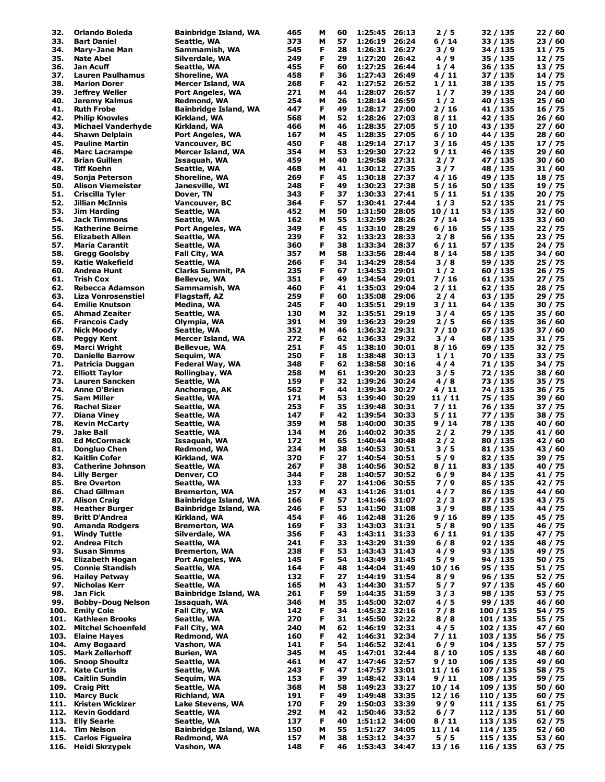| 32.  | Orlando Boleda            |                              | 465 | м | 60 | 1:25:45 | 26:13 | 2/5     | 32 / 135  |         |
|------|---------------------------|------------------------------|-----|---|----|---------|-------|---------|-----------|---------|
|      |                           | <b>Bainbridge Island, WA</b> |     |   |    |         |       |         |           | 22/60   |
| 33.  | <b>Bart Daniel</b>        | Seattle, WA                  | 373 | м | 57 | 1:26:19 | 26:24 | 6/14    | 33 / 135  | 23/60   |
| 34.  | <b>Mary-Jane Man</b>      | Sammamish, WA                | 545 | F | 28 | 1:26:31 | 26:27 | 3/9     | 34 / 135  | 11 / 75 |
| 35.  | <b>Nate Abel</b>          | Silverdale, WA               | 249 | F | 29 | 1:27:20 | 26:42 | 4/9     | 35 / 135  | 12/75   |
| 36.  | Jan Acuff                 | Seattle, WA                  | 455 | F | 60 | 1:27:25 | 26:44 | 1/4     | 36 / 135  | 13 / 75 |
| 37.  | Lauren Paulhamus          | Shoreline, WA                | 458 | F | 36 | 1:27:43 | 26:49 | 4 / 11  | 37 / 135  | 14 / 75 |
| 38.  | <b>Marion Dorer</b>       | Mercer Island, WA            | 268 | F | 42 | 1:27:52 | 26:52 | 1 / 11  | 38 / 135  | 15 / 75 |
|      |                           |                              |     |   |    |         |       |         |           |         |
| 39.  | <b>Jeffrey Weller</b>     | <b>Port Angeles, WA</b>      | 271 | М | 44 | 1:28:07 | 26:57 | 1/7     | 39 / 135  | 24 / 60 |
| 40.  | Jeremy Kalmus             | Redmond, WA                  | 254 | М | 26 | 1:28:14 | 26:59 | 1/2     | 40 / 135  | 25 / 60 |
| 41.  | <b>Ruth Frobe</b>         | <b>Bainbridge Island, WA</b> | 447 | F | 49 | 1:28:17 | 27:00 | 2 / 16  | 41 / 135  | 16 / 75 |
| 42.  | <b>Philip Knowles</b>     | Kirkland, WA                 | 568 | М | 52 | 1:28:26 | 27:03 | 8/11    | 42 / 135  | 26/60   |
| 43.  | <b>Michael Vanderhyde</b> | Kirkland, WA                 | 466 | м | 46 | 1:28:35 | 27:05 | 5 / 10  | 43 / 135  | 27 / 60 |
|      |                           |                              |     |   |    |         |       |         |           |         |
| 44.  | <b>Shawn Delplain</b>     | Port Angeles, WA             | 167 | м | 45 | 1:28:35 | 27:05 | 6 / 10  | 44 / 135  | 28 / 60 |
| 45.  | <b>Pauline Martin</b>     | Vancouver, BC                | 450 | F | 48 | 1:29:14 | 27:17 | 3 / 16  | 45 / 135  | 17 / 75 |
| 46.  | <b>Marc Lacrampe</b>      | Mercer Island, WA            | 354 | М | 53 | 1:29:30 | 27:22 | 9 / 11  | 46 / 135  | 29/60   |
| 47.  | <b>Brian Guillen</b>      | Issaquah, WA                 | 459 | М | 40 | 1:29:58 | 27:31 | 2/7     | 47 / 135  | 30 / 60 |
| 48.  | Tiff Koehn                | Seattle, WA                  | 468 | м | 41 | 1:30:12 | 27:35 | 3/7     | 48 / 135  | 31 / 60 |
|      |                           |                              |     |   |    |         |       |         |           |         |
| 49.  | Sonja Peterson            | Shoreline, WA                | 269 | F | 45 | 1:30:18 | 27:37 | 4 / 16  | 49 / 135  | 18 / 75 |
| 50.  | Alison Viemeister         | Janesville, WI               | 248 | F | 49 | 1:30:23 | 27:38 | 5/16    | 50 / 135  | 19 / 75 |
| 51.  | Criscilla Tyler           | Dover, TN                    | 343 | F | 37 | 1:30:33 | 27:41 | 5 / 11  | 51 / 135  | 20 / 75 |
| 52.  | Jillian McInnis           | Vancouver, BC                | 364 | F | 57 | 1:30:41 | 27:44 | 1/3     | 52 / 135  | 21 / 75 |
| 53.  | Jim Harding               | Seattle, WA                  | 452 | М | 50 | 1:31:50 | 28:05 | 10/11   | 53 / 135  | 32 / 60 |
|      |                           |                              |     |   |    |         |       |         |           |         |
| 54.  | Jack Timmons              | Seattle, WA                  | 162 | M | 55 | 1:32:59 | 28:26 | 7 / 14  | 54 / 135  | 33 / 60 |
| 55.  | <b>Katherine Beirne</b>   | <b>Port Angeles, WA</b>      | 349 | F | 45 | 1:33:10 | 28:29 | 6 / 16  | 55 / 135  | 22 / 75 |
| 56.  | <b>Elizabeth Allen</b>    | Seattle, WA                  | 239 | F | 32 | 1:33:23 | 28:33 | 2/8     | 56 / 135  | 23 / 75 |
| 57.  | <b>Maria Carantit</b>     | Seattle, WA                  | 360 | F | 38 | 1:33:34 | 28:37 | 6 / 11  | 57 / 135  | 24 / 75 |
| 58.  |                           |                              | 357 | М | 58 | 1:33:56 | 28:44 | 8/14    |           | 34 / 60 |
|      | <b>Gregg Goolsby</b>      | Fall City, WA                |     |   |    |         |       |         | 58 / 135  |         |
| 59.  | <b>Katie Wakefield</b>    | Seattle, WA                  | 266 | F | 34 | 1:34:29 | 28:54 | 3/8     | 59 / 135  | 25 / 75 |
| 60.  | Andrea Hunt               | <b>Clarks Summit, PA</b>     | 235 | F | 67 | 1:34:53 | 29:01 | 1/2     | 60 / 135  | 26 / 75 |
| 61.  | Trish Cox                 | <b>Bellevue, WA</b>          | 351 | F | 49 | 1:34:54 | 29:01 | 7 / 16  | 61 / 135  | 27 / 75 |
| 62.  | Rebecca Adamson           | Sammamish, WA                | 460 | F | 41 | 1:35:03 | 29:04 | 2 / 11  | 62 / 135  | 28 / 75 |
| 63.  | <b>Liza Vonrosenstiel</b> | Flagstaff, AZ                | 259 | F | 60 | 1:35:08 | 29:06 | 2/4     |           | 29 / 75 |
|      |                           |                              |     |   |    |         |       |         | 63 / 135  |         |
| 64.  | <b>Emilie Knutson</b>     | Medina, WA                   | 245 | F | 40 | 1:35:51 | 29:19 | 3 / 11  | 64 / 135  | 30 / 75 |
| 65.  | <b>Ahmad Zeaiter</b>      | Seattle, WA                  | 130 | М | 32 | 1:35:51 | 29:19 | 3/4     | 65 / 135  | 35 / 60 |
| 66.  | <b>Francois Cady</b>      | Olympia, WA                  | 391 | М | 39 | 1:36:23 | 29:29 | 2/5     | 66 / 135  | 36 / 60 |
| 67.  | <b>Nick Moody</b>         | Seattle, WA                  | 352 | М | 46 | 1:36:32 | 29:31 | 7 / 10  | 67 / 135  | 37 / 60 |
| 68.  |                           |                              | 272 | F | 62 | 1:36:33 | 29:32 | 3/4     |           |         |
|      | <b>Peggy Kent</b>         | Mercer Island, WA            |     |   |    |         |       |         | 68 / 135  | 31 / 75 |
| 69.  | Marci Wright              | Bellevue, WA                 | 251 | F | 45 | 1:38:10 | 30:01 | 8/16    | 69 / 135  | 32 / 75 |
| 70.  | <b>Danielle Barrow</b>    | Sequim, WA                   | 250 | F | 18 | 1:38:48 | 30:13 | 1/1     | 70 / 135  | 33 / 75 |
| 71.  | Patricia Duggan           | Federal Way, WA              | 348 | F | 62 | 1:38:58 | 30:16 | 4 / 4   | 71 / 135  | 34 / 75 |
| 72.  | <b>Elliott Taylor</b>     | Rollingbay, WA               | 258 | м | 61 | 1:39:20 | 30:23 | 3 / 5   | 72 / 135  | 38 / 60 |
|      |                           |                              |     |   |    |         |       |         |           |         |
| 73.  | Lauren Sancken            | Seattle, WA                  | 159 | F | 32 | 1:39:26 | 30:24 | 4 / 8   | 73 / 135  | 35 / 75 |
| 74.  | <b>Anne O'Brien</b>       | Anchorage, AK                | 562 | F | 44 | 1:39:34 | 30:27 | 4/11    | 74 / 135  | 36 / 75 |
| 75.  | <b>Sam Miller</b>         | Seattle, WA                  | 171 | м | 53 | 1:39:40 | 30:29 | 11 / 11 | 75 / 135  | 39 / 60 |
| 76.  | Rachel Sizer              | Seattle, WA                  | 253 | F | 35 | 1:39:48 | 30:31 | 7/11    | 76 / 135  | 37 / 75 |
| 77.  | Diana Viney               | Seattle, WA                  | 147 | F | 42 | 1:39:54 | 30:33 | 5/11    | 77 / 135  | 38 / 75 |
| 78.  |                           |                              | 359 | М | 58 |         | 30:35 |         |           |         |
|      | <b>Kevin McCarty</b>      | Seattle, WA                  |     |   |    | 1:40:00 |       | 9 / 14  | 78 / 135  | 40 / 60 |
| 79.  | Jake Ball                 | Seattle, WA                  | 134 | м | 26 | 1:40:02 | 30:35 | 2/2     | 79 / 135  | 41 / 60 |
| 80.  | <b>Ed McCormack</b>       | Issaquah, WA                 | 172 | м | 65 | 1:40:44 | 30:48 | 2/2     | 80 / 135  | 42 / 60 |
| 81.  | <b>Donaluo Chen</b>       | Redmond, WA                  | 234 | М | 38 | 1:40:53 | 30:51 | 3/5     | 81 / 135  | 43 / 60 |
| 82.  | Kaitlin Cofer             | Kirkland, WA                 | 370 | F | 27 | 1:40:54 | 30:51 | 5/9     | 82 / 135  | 39 / 75 |
| 83.  | <b>Catherine Johnson</b>  | Seattle, WA                  | 267 | F | 38 | 1:40:56 | 30:52 |         |           | 40 / 75 |
|      |                           |                              |     |   |    |         |       | 8 / 11  | 83 / 135  |         |
| 84.  | Lilly Berger              | Denver, CO                   | 344 | F | 28 | 1:40:57 | 30:52 | 6 / 9   | 84 / 135  | 41 / 75 |
| 85.  | <b>Bre Overton</b>        | Seattle, WA                  | 133 | F | 27 | 1:41:06 | 30:55 | 7/9     | 85 / 135  | 42 / 75 |
| 86.  | <b>Chad Gillman</b>       | <b>Bremerton, WA</b>         | 257 | м | 43 | 1:41:26 | 31:01 | 4/7     | 86 / 135  | 44 / 60 |
| 87.  | <b>Alison Craig</b>       | Bainbridge Island, WA        | 166 | F | 57 | 1:41:46 | 31:07 | 2/3     | 87 / 135  | 43 / 75 |
| 88.  | <b>Heather Burger</b>     | <b>Bainbridge Island, WA</b> | 246 | F | 53 |         |       |         | 88 / 135  |         |
|      |                           |                              |     |   |    | 1:41:50 | 31:08 | 3/9     |           | 44 / 75 |
| 89.  | <b>Britt D'Andrea</b>     | Kirkland, WA                 | 454 | F | 46 | 1:42:48 | 31:26 | 9 / 16  | 89 / 135  | 45 / 75 |
| 90.  | <b>Amanda Rodgers</b>     | <b>Bremerton, WA</b>         | 169 | F | 33 | 1:43:03 | 31:31 | 5/8     | 90 / 135  | 46 / 75 |
| 91.  | <b>Windy Tuttle</b>       | Silverdale, WA               | 356 | F | 43 | 1:43:11 | 31:33 | 6 / 11  | 91 / 135  | 47 / 75 |
| 92.  | <b>Andrea Fitch</b>       | Seattle, WA                  | 241 | F | 33 | 1:43:29 | 31:39 | 6/8     | 92 / 135  | 48 / 75 |
|      |                           |                              |     |   |    |         |       |         |           |         |
| 93.  | <b>Susan Simms</b>        | <b>Bremerton, WA</b>         | 238 | F | 53 | 1:43:43 | 31:43 | 4/9     | 93 / 135  | 49 / 75 |
| 94.  | <b>Elizabeth Hogan</b>    | Port Angeles, WA             | 145 | F | 54 | 1:43:49 | 31:45 | 5/9     | 94 / 135  | 50 / 75 |
| 95.  | <b>Connie Standish</b>    | Seattle, WA                  | 164 | F | 48 | 1:44:04 | 31:49 | 10/16   | 95 / 135  | 51 / 75 |
| 96.  | <b>Hailey Petway</b>      | Seattle, WA                  | 132 | F | 27 | 1:44:19 | 31:54 | 8/9     | 96 / 135  | 52 / 75 |
| 97.  | <b>Nicholas Kerr</b>      | Seattle, WA                  | 165 | М | 43 | 1:44:30 | 31:57 | 5/7     | 97/135    | 45 / 60 |
|      |                           |                              |     |   |    |         |       |         |           |         |
| 98.  | Jan Fick                  | <b>Bainbridge Island, WA</b> | 261 | Е | 59 | 1:44:35 | 31:59 | 3 / 3   | 98 / 135  | 53 / 75 |
| 99.  | <b>Bobby-Doug Nelson</b>  | Issaquah, WA                 | 346 | М | 35 | 1:45:00 | 32:07 | 4/5     | 99 / 135  | 46 / 60 |
| 100. | <b>Emily Cole</b>         | Fall City, WA                | 142 | F | 34 | 1:45:32 | 32:16 | 7/8     | 100 / 135 | 54 / 75 |
| 101. | <b>Kathleen Brooks</b>    | Seattle, WA                  | 270 | F | 31 | 1:45:50 | 32:22 | 8/8     | 101 / 135 | 55 / 75 |
| 102. | <b>Mitchel Schoenfeld</b> | Fall City, WA                | 240 | м | 62 | 1:46:19 | 32:31 | 4/5     | 102 / 135 | 47 / 60 |
|      |                           |                              |     |   |    |         |       |         |           |         |
| 103. | <b>Elaine Hayes</b>       | Redmond, WA                  | 160 | F | 42 | 1:46:31 | 32:34 | 7 / 11  | 103 / 135 | 56 / 75 |
| 104. | Amy Bogaard               | Vashon, WA                   | 141 | F | 54 | 1:46:52 | 32:41 | $6/9$   | 104 / 135 | 57 / 75 |
| 105. | <b>Mark Zellerhoff</b>    | <b>Burien, WA</b>            | 345 | м | 45 | 1:47:01 | 32:44 | 8 / 10  | 105 / 135 | 48 / 60 |
| 106. | <b>Snoop Shoultz</b>      | Seattle, WA                  | 461 | м | 47 | 1:47:46 | 32:57 | 9/10    | 106 / 135 | 49 / 60 |
| 107. | <b>Kate Curtis</b>        | Seattle, WA                  | 243 | F | 47 | 1:47:57 | 33:01 | 11/16   | 107 / 135 | 58 / 75 |
|      |                           |                              |     |   |    |         |       |         |           |         |
| 108. | <b>Caitlin Sundin</b>     | Sequim, WA                   | 153 | F | 39 | 1:48:42 | 33:14 | 9/11    | 108 / 135 | 59 / 75 |
| 109. | <b>Craig Pitt</b>         | Seattle, WA                  | 368 | м | 58 | 1:49:23 | 33:27 | 10/14   | 109 / 135 | 50 / 60 |
| 110. | <b>Marcy Buck</b>         | Richland, WA                 | 191 | F | 49 | 1:49:48 | 33:35 | 12/16   | 110 / 135 | 60 / 75 |
| 111. | Kristen Wickizer          | Lake Stevens, WA             | 170 | F | 29 | 1:50:03 | 33:39 | $9/9$   | 111 / 135 | 61 / 75 |
|      | <b>Kevin Goddard</b>      |                              |     |   |    |         | 33:52 |         |           |         |
| 112. |                           | Seattle, WA                  | 292 | М | 42 | 1:50:46 |       | 6 / 7   | 112 / 135 | 51 / 60 |
| 113. |                           |                              | 137 | F | 40 | 1:51:12 | 34:00 | 8/11    | 113 / 135 | 62 / 75 |
|      | <b>Elly Searle</b>        | Seattle, WA                  |     |   |    |         |       |         |           |         |
| 114. | <b>Tim Nelson</b>         | <b>Bainbridge Island, WA</b> | 150 | M | 55 | 1:51:27 | 34:05 | 11 / 14 | 114 / 135 | 52 / 60 |
| 115. | <b>Carlos Figueira</b>    | Redmond, WA                  | 157 | М | 38 | 1:53:12 | 34:37 | 5/5     | 115 / 135 | 53/60   |